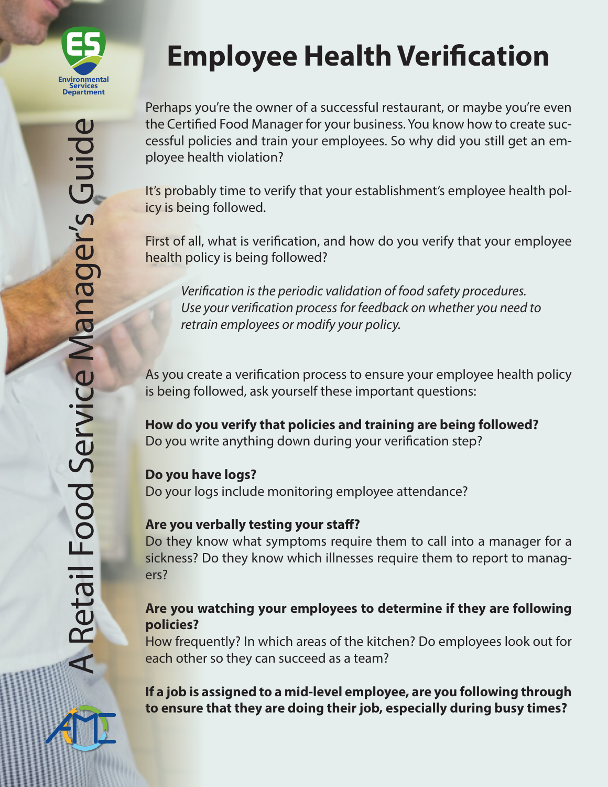

# **Employee Health Verification**

Perhaps you're the owner of a successful restaurant, or maybe you're even the Certified Food Manager for your business. You know how to create successful policies and train your employees. So why did you still get an employee health violation?

It's probably time to verify that your establishment's employee health policy is being followed.

First of all, what is verification, and how do you verify that your employee health policy is being followed?

*Verification is the periodic validation of food safety procedures. Use your verification process for feedback on whether you need to retrain employees or modify your policy.*

As you create a verification process to ensure your employee health policy is being followed, ask yourself these important questions:

**How do you verify that policies and training are being followed?**  Do you write anything down during your verification step?

## **Do you have logs?**

Do your logs include monitoring employee attendance?

#### **Are you verbally testing your staff?**

Do they know what symptoms require them to call into a manager for a sickness? Do they know which illnesses require them to report to managers?

### **Are you watching your employees to determine if they are following policies?**

How frequently? In which areas of the kitchen? Do employees look out for each other so they can succeed as a team?

**If a job is assigned to a mid-level employee, are you following through to ensure that they are doing their job, especially during busy times?**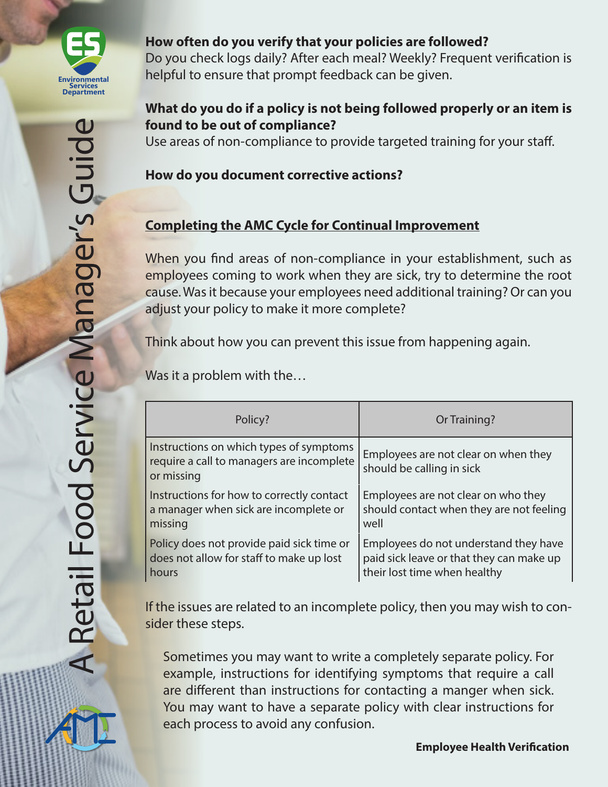

#### **How often do you verify that your policies are followed?**

Do you check logs daily? After each meal? Weekly? Frequent verification is helpful to ensure that prompt feedback can be given.

#### **What do you do if a policy is not being followed properly or an item is found to be out of compliance?**

Use areas of non-compliance to provide targeted training for your staff.

#### **How do you document corrective actions?**

# **Completing the AMC Cycle for Continual Improvement**

When you find areas of non-compliance in your establishment, such as employees coming to work when they are sick, try to determine the root cause. Was it because your employees need additional training? Or can you adjust your policy to make it more complete?

Think about how you can prevent this issue from happening again.

Was it a problem with the…

| Policy?                                                                                            | Or Training?                                                      |
|----------------------------------------------------------------------------------------------------|-------------------------------------------------------------------|
| Instructions on which types of symptoms<br>require a call to managers are incomplete<br>or missing | Employees are not clear on when they<br>should be calling in sick |
| Instructions for how to correctly contact                                                          | Employees are not clear on who they                               |
| a manager when sick are incomplete or                                                              | should contact when they are not feeling                          |
| missing                                                                                            | well                                                              |
| Policy does not provide paid sick time or                                                          | Employees do not understand they have                             |
| does not allow for staff to make up lost                                                           | paid sick leave or that they can make up                          |
| hours                                                                                              | their lost time when healthy                                      |

If the issues are related to an incomplete policy, then you may wish to consider these steps.

Sometimes you may want to write a completely separate policy. For example, instructions for identifying symptoms that require a call are different than instructions for contacting a manger when sick. You may want to have a separate policy with clear instructions for each process to avoid any confusion.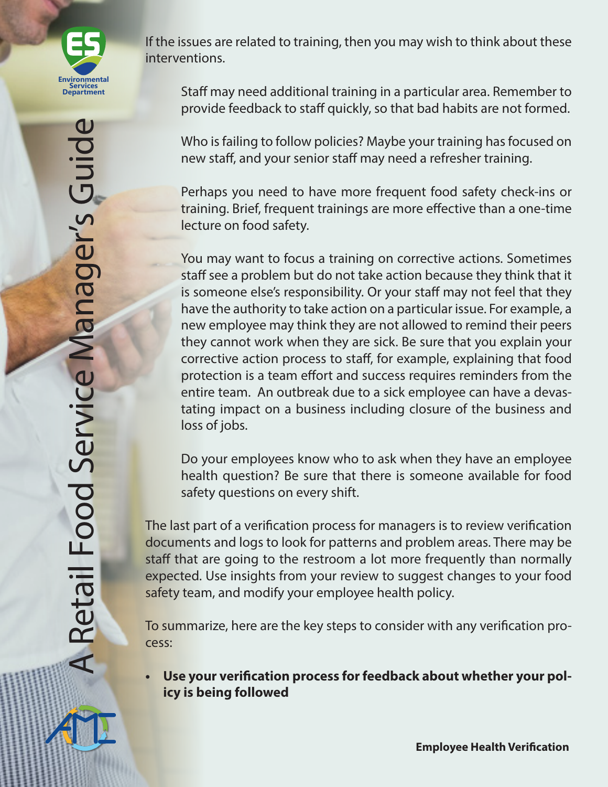

If the issues are related to training, then you may wish to think about these interventions.

Staff may need additional training in a particular area. Remember to provide feedback to staff quickly, so that bad habits are not formed.

Who is failing to follow policies? Maybe your training has focused on new staff, and your senior staff may need a refresher training.

Perhaps you need to have more frequent food safety check-ins or training. Brief, frequent trainings are more effective than a one-time lecture on food safety.

You may want to focus a training on corrective actions. Sometimes staff see a problem but do not take action because they think that it is someone else's responsibility. Or your staff may not feel that they have the authority to take action on a particular issue. For example, a new employee may think they are not allowed to remind their peers they cannot work when they are sick. Be sure that you explain your corrective action process to staff, for example, explaining that food protection is a team effort and success requires reminders from the entire team. An outbreak due to a sick employee can have a devastating impact on a business including closure of the business and loss of jobs.

Do your employees know who to ask when they have an employee health question? Be sure that there is someone available for food safety questions on every shift.

The last part of a verification process for managers is to review verification documents and logs to look for patterns and problem areas. There may be staff that are going to the restroom a lot more frequently than normally expected. Use insights from your review to suggest changes to your food safety team, and modify your employee health policy.

To summarize, here are the key steps to consider with any verification process:

**• Use your verification process for feedback about whether your policy is being followed**